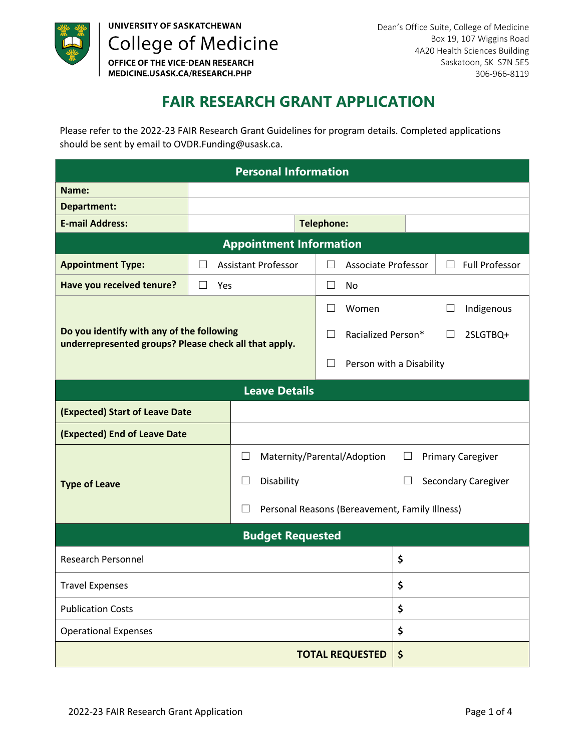

UNIVERSITY OF SASKATCHEWAN **College of Medicine** OFFICE OF THE VICE-DEAN RESEARCH MEDICINE.USASK.CA/RESEARCH.PHP

## **FAIR RESEARCH GRANT APPLICATION**

Please refer to the 2022-23 FAIR Research Grant Guidelines for program details. Completed applications should be sent by email to OVDR.Funding@usask.ca.

| <b>Personal Information</b>                                                                        |                         |                                                              |                    |                              |                                  |  |  |  |
|----------------------------------------------------------------------------------------------------|-------------------------|--------------------------------------------------------------|--------------------|------------------------------|----------------------------------|--|--|--|
| Name:                                                                                              |                         |                                                              |                    |                              |                                  |  |  |  |
| <b>Department:</b>                                                                                 |                         |                                                              |                    |                              |                                  |  |  |  |
| <b>E-mail Address:</b>                                                                             |                         |                                                              | <b>Telephone:</b>  |                              |                                  |  |  |  |
| <b>Appointment Information</b>                                                                     |                         |                                                              |                    |                              |                                  |  |  |  |
| <b>Appointment Type:</b>                                                                           | $\mathsf{L}$            | <b>Assistant Professor</b>                                   | $\mathsf{L}$       | <b>Associate Professor</b>   | <b>Full Professor</b><br>$\perp$ |  |  |  |
| Have you received tenure?                                                                          | $\mathsf{L}$<br>Yes     |                                                              | $\mathsf{L}$       | No                           |                                  |  |  |  |
|                                                                                                    |                         |                                                              |                    | Women                        | Indigenous<br>$\Box$             |  |  |  |
| Do you identify with any of the following<br>underrepresented groups? Please check all that apply. |                         | $\mathbf{L}$                                                 | Racialized Person* | 2SLGTBQ+                     |                                  |  |  |  |
|                                                                                                    |                         |                                                              | $\mathsf{L}$       | Person with a Disability     |                                  |  |  |  |
| <b>Leave Details</b>                                                                               |                         |                                                              |                    |                              |                                  |  |  |  |
| (Expected) Start of Leave Date                                                                     |                         |                                                              |                    |                              |                                  |  |  |  |
| (Expected) End of Leave Date                                                                       |                         |                                                              |                    |                              |                                  |  |  |  |
| <b>Type of Leave</b>                                                                               |                         | Maternity/Parental/Adoption<br><b>Primary Caregiver</b><br>ப |                    |                              |                                  |  |  |  |
|                                                                                                    |                         | Disability<br>$\lceil$                                       |                    |                              | Secondary Caregiver              |  |  |  |
|                                                                                                    |                         | Personal Reasons (Bereavement, Family Illness)               |                    |                              |                                  |  |  |  |
|                                                                                                    | <b>Budget Requested</b> |                                                              |                    |                              |                                  |  |  |  |
| <b>Research Personnel</b>                                                                          |                         |                                                              | \$                 |                              |                                  |  |  |  |
| <b>Travel Expenses</b>                                                                             |                         |                                                              |                    | \$                           |                                  |  |  |  |
| <b>Publication Costs</b>                                                                           |                         |                                                              |                    | \$                           |                                  |  |  |  |
| <b>Operational Expenses</b>                                                                        |                         |                                                              | \$                 |                              |                                  |  |  |  |
|                                                                                                    |                         |                                                              |                    | \$<br><b>TOTAL REQUESTED</b> |                                  |  |  |  |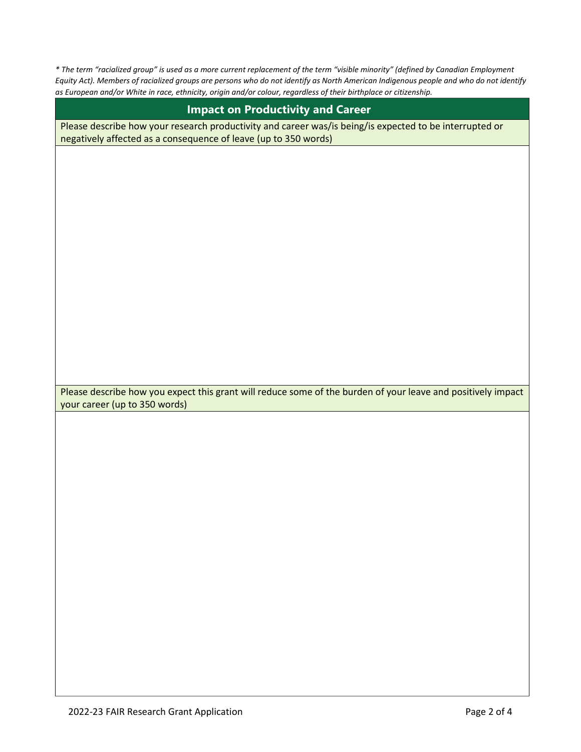*\* The term "racialized group" is used as a more current replacement of the term "visible minority" (defined by Canadian Employment Equity Act). Members of racialized groups are persons who do not identify as North American Indigenous people and who do not identify as European and/or White in race, ethnicity, origin and/or colour, regardless of their birthplace or citizenship.* 

| <b>Impact on Productivity and Career</b>                                                                                                                                   |
|----------------------------------------------------------------------------------------------------------------------------------------------------------------------------|
| Please describe how your research productivity and career was/is being/is expected to be interrupted or<br>negatively affected as a consequence of leave (up to 350 words) |
|                                                                                                                                                                            |
|                                                                                                                                                                            |
|                                                                                                                                                                            |
|                                                                                                                                                                            |
|                                                                                                                                                                            |
|                                                                                                                                                                            |
|                                                                                                                                                                            |
|                                                                                                                                                                            |
|                                                                                                                                                                            |
|                                                                                                                                                                            |
| Please describe how you expect this grant will reduce some of the burden of your leave and positively impact                                                               |
| your career (up to 350 words)                                                                                                                                              |
|                                                                                                                                                                            |
|                                                                                                                                                                            |
|                                                                                                                                                                            |
|                                                                                                                                                                            |
|                                                                                                                                                                            |
|                                                                                                                                                                            |
|                                                                                                                                                                            |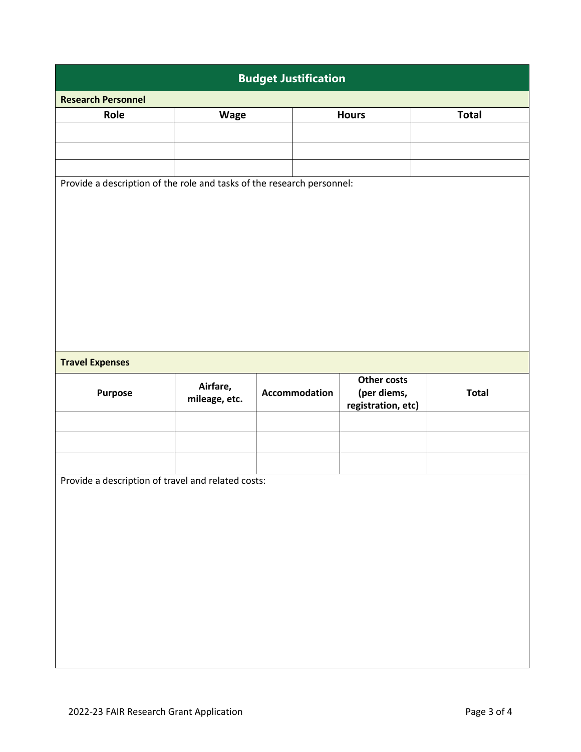| <b>Budget Justification</b>                                            |               |               |                                   |              |  |  |  |  |
|------------------------------------------------------------------------|---------------|---------------|-----------------------------------|--------------|--|--|--|--|
| <b>Research Personnel</b>                                              |               |               |                                   |              |  |  |  |  |
| Role                                                                   | Wage          |               | <b>Hours</b>                      | <b>Total</b> |  |  |  |  |
|                                                                        |               |               |                                   |              |  |  |  |  |
|                                                                        |               |               |                                   |              |  |  |  |  |
|                                                                        |               |               |                                   |              |  |  |  |  |
| Provide a description of the role and tasks of the research personnel: |               |               |                                   |              |  |  |  |  |
|                                                                        |               |               |                                   |              |  |  |  |  |
|                                                                        |               |               |                                   |              |  |  |  |  |
|                                                                        |               |               |                                   |              |  |  |  |  |
|                                                                        |               |               |                                   |              |  |  |  |  |
|                                                                        |               |               |                                   |              |  |  |  |  |
|                                                                        |               |               |                                   |              |  |  |  |  |
|                                                                        |               |               |                                   |              |  |  |  |  |
|                                                                        |               |               |                                   |              |  |  |  |  |
|                                                                        |               |               |                                   |              |  |  |  |  |
|                                                                        |               |               |                                   |              |  |  |  |  |
|                                                                        |               |               |                                   |              |  |  |  |  |
| <b>Travel Expenses</b>                                                 |               |               |                                   |              |  |  |  |  |
|                                                                        | Airfare,      |               | Other costs                       |              |  |  |  |  |
| <b>Purpose</b>                                                         | mileage, etc. | Accommodation | (per diems,<br>registration, etc) | <b>Total</b> |  |  |  |  |
|                                                                        |               |               |                                   |              |  |  |  |  |
|                                                                        |               |               |                                   |              |  |  |  |  |
|                                                                        |               |               |                                   |              |  |  |  |  |
|                                                                        |               |               |                                   |              |  |  |  |  |
| Provide a description of travel and related costs:                     |               |               |                                   |              |  |  |  |  |
|                                                                        |               |               |                                   |              |  |  |  |  |
|                                                                        |               |               |                                   |              |  |  |  |  |
|                                                                        |               |               |                                   |              |  |  |  |  |
|                                                                        |               |               |                                   |              |  |  |  |  |
|                                                                        |               |               |                                   |              |  |  |  |  |
|                                                                        |               |               |                                   |              |  |  |  |  |
|                                                                        |               |               |                                   |              |  |  |  |  |
|                                                                        |               |               |                                   |              |  |  |  |  |
|                                                                        |               |               |                                   |              |  |  |  |  |
|                                                                        |               |               |                                   |              |  |  |  |  |
|                                                                        |               |               |                                   |              |  |  |  |  |
|                                                                        |               |               |                                   |              |  |  |  |  |